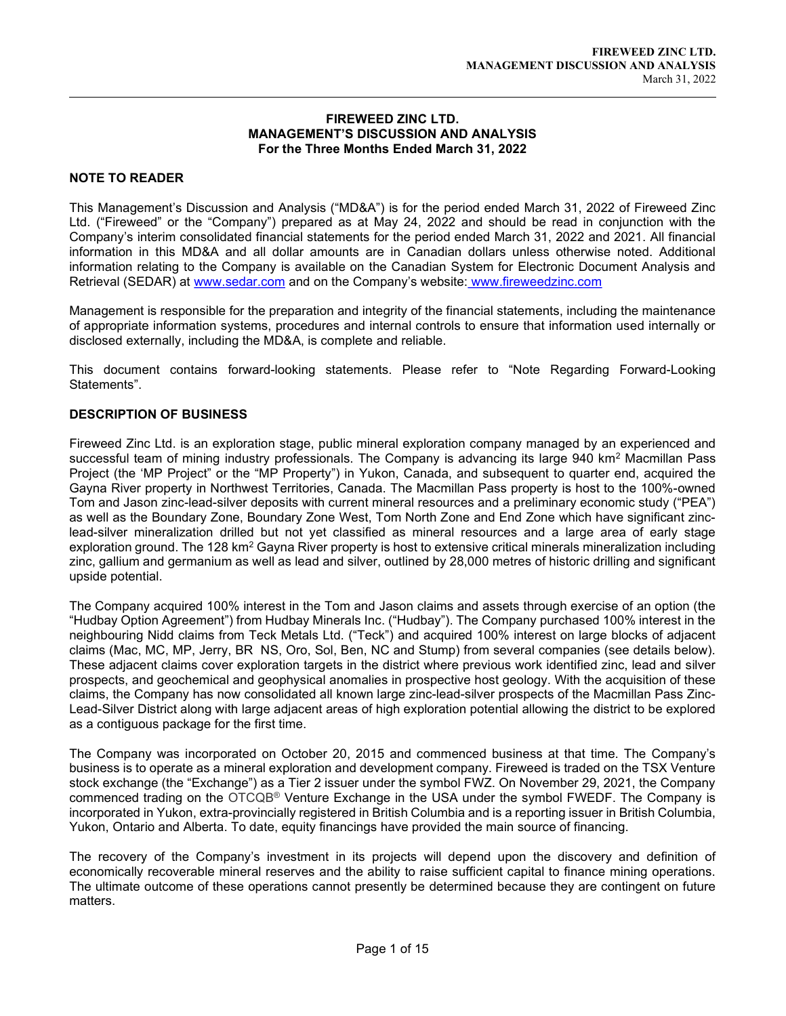#### FIREWEED ZINC LTD. MANAGEMENT'S DISCUSSION AND ANALYSIS For the Three Months Ended March 31, 2022

# NOTE TO READER

 $\overline{a}$ 

This Management's Discussion and Analysis ("MD&A") is for the period ended March 31, 2022 of Fireweed Zinc Ltd. ("Fireweed" or the "Company") prepared as at May 24, 2022 and should be read in conjunction with the Company's interim consolidated financial statements for the period ended March 31, 2022 and 2021. All financial information in this MD&A and all dollar amounts are in Canadian dollars unless otherwise noted. Additional information relating to the Company is available on the Canadian System for Electronic Document Analysis and Retrieval (SEDAR) at www.sedar.com and on the Company's website: www.fireweedzinc.com

Management is responsible for the preparation and integrity of the financial statements, including the maintenance of appropriate information systems, procedures and internal controls to ensure that information used internally or disclosed externally, including the MD&A, is complete and reliable.

This document contains forward-looking statements. Please refer to "Note Regarding Forward-Looking Statements".

# DESCRIPTION OF BUSINESS

Fireweed Zinc Ltd. is an exploration stage, public mineral exploration company managed by an experienced and successful team of mining industry professionals. The Company is advancing its large 940 km² Macmillan Pass Project (the 'MP Project" or the "MP Property") in Yukon, Canada, and subsequent to quarter end, acquired the Gayna River property in Northwest Territories, Canada. The Macmillan Pass property is host to the 100%-owned Tom and Jason zinc-lead-silver deposits with current mineral resources and a preliminary economic study ("PEA") as well as the Boundary Zone, Boundary Zone West, Tom North Zone and End Zone which have significant zinclead-silver mineralization drilled but not yet classified as mineral resources and a large area of early stage exploration ground. The 128 km<sup>2</sup> Gayna River property is host to extensive critical minerals mineralization including zinc, gallium and germanium as well as lead and silver, outlined by 28,000 metres of historic drilling and significant upside potential.

The Company acquired 100% interest in the Tom and Jason claims and assets through exercise of an option (the "Hudbay Option Agreement") from Hudbay Minerals Inc. ("Hudbay"). The Company purchased 100% interest in the neighbouring Nidd claims from Teck Metals Ltd. ("Teck") and acquired 100% interest on large blocks of adjacent claims (Mac, MC, MP, Jerry, BR NS, Oro, Sol, Ben, NC and Stump) from several companies (see details below). These adjacent claims cover exploration targets in the district where previous work identified zinc, lead and silver prospects, and geochemical and geophysical anomalies in prospective host geology. With the acquisition of these claims, the Company has now consolidated all known large zinc-lead-silver prospects of the Macmillan Pass Zinc-Lead-Silver District along with large adjacent areas of high exploration potential allowing the district to be explored as a contiguous package for the first time.

The Company was incorporated on October 20, 2015 and commenced business at that time. The Company's business is to operate as a mineral exploration and development company. Fireweed is traded on the TSX Venture stock exchange (the "Exchange") as a Tier 2 issuer under the symbol FWZ. On November 29, 2021, the Company commenced trading on the OTCQB® Venture Exchange in the USA under the symbol FWEDF. The Company is incorporated in Yukon, extra-provincially registered in British Columbia and is a reporting issuer in British Columbia, Yukon, Ontario and Alberta. To date, equity financings have provided the main source of financing.

The recovery of the Company's investment in its projects will depend upon the discovery and definition of economically recoverable mineral reserves and the ability to raise sufficient capital to finance mining operations. The ultimate outcome of these operations cannot presently be determined because they are contingent on future matters.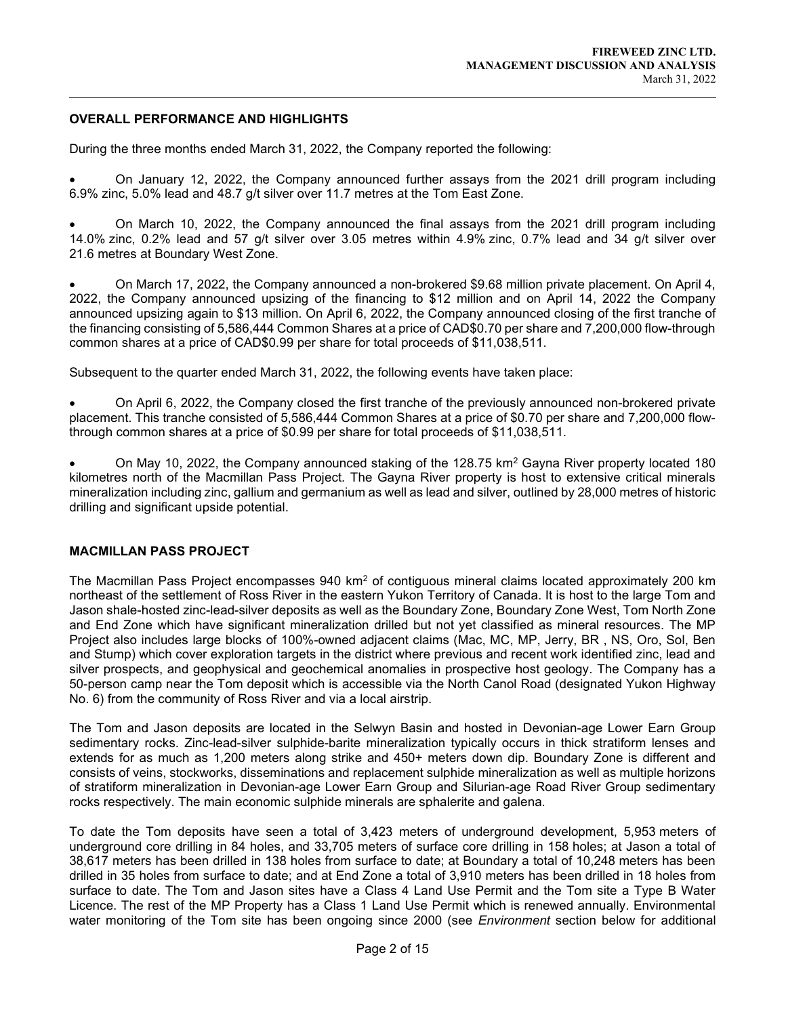## OVERALL PERFORMANCE AND HIGHLIGHTS

 $\overline{a}$ 

During the three months ended March 31, 2022, the Company reported the following:

 On January 12, 2022, the Company announced further assays from the 2021 drill program including 6.9% zinc, 5.0% lead and 48.7 g/t silver over 11.7 metres at the Tom East Zone.

 On March 10, 2022, the Company announced the final assays from the 2021 drill program including 14.0% zinc, 0.2% lead and 57 g/t silver over 3.05 metres within 4.9% zinc, 0.7% lead and 34 g/t silver over 21.6 metres at Boundary West Zone.

 On March 17, 2022, the Company announced a non-brokered \$9.68 million private placement. On April 4, 2022, the Company announced upsizing of the financing to \$12 million and on April 14, 2022 the Company announced upsizing again to \$13 million. On April 6, 2022, the Company announced closing of the first tranche of the financing consisting of 5,586,444 Common Shares at a price of CAD\$0.70 per share and 7,200,000 flow-through common shares at a price of CAD\$0.99 per share for total proceeds of \$11,038,511.

Subsequent to the quarter ended March 31, 2022, the following events have taken place:

 On April 6, 2022, the Company closed the first tranche of the previously announced non-brokered private placement. This tranche consisted of 5,586,444 Common Shares at a price of \$0.70 per share and 7,200,000 flowthrough common shares at a price of \$0.99 per share for total proceeds of \$11,038,511.

• On May 10, 2022, the Company announced staking of the 128.75 km<sup>2</sup> Gayna River property located 180 kilometres north of the Macmillan Pass Project. The Gayna River property is host to extensive critical minerals mineralization including zinc, gallium and germanium as well as lead and silver, outlined by 28,000 metres of historic drilling and significant upside potential.

#### MACMILLAN PASS PROJECT

The Macmillan Pass Project encompasses 940 km<sup>2</sup> of contiguous mineral claims located approximately 200 km northeast of the settlement of Ross River in the eastern Yukon Territory of Canada. It is host to the large Tom and Jason shale-hosted zinc-lead-silver deposits as well as the Boundary Zone, Boundary Zone West, Tom North Zone and End Zone which have significant mineralization drilled but not yet classified as mineral resources. The MP Project also includes large blocks of 100%-owned adjacent claims (Mac, MC, MP, Jerry, BR , NS, Oro, Sol, Ben and Stump) which cover exploration targets in the district where previous and recent work identified zinc, lead and silver prospects, and geophysical and geochemical anomalies in prospective host geology. The Company has a 50-person camp near the Tom deposit which is accessible via the North Canol Road (designated Yukon Highway No. 6) from the community of Ross River and via a local airstrip.

The Tom and Jason deposits are located in the Selwyn Basin and hosted in Devonian-age Lower Earn Group sedimentary rocks. Zinc-lead-silver sulphide-barite mineralization typically occurs in thick stratiform lenses and extends for as much as 1,200 meters along strike and 450+ meters down dip. Boundary Zone is different and consists of veins, stockworks, disseminations and replacement sulphide mineralization as well as multiple horizons of stratiform mineralization in Devonian-age Lower Earn Group and Silurian-age Road River Group sedimentary rocks respectively. The main economic sulphide minerals are sphalerite and galena.

To date the Tom deposits have seen a total of 3,423 meters of underground development, 5,953 meters of underground core drilling in 84 holes, and 33,705 meters of surface core drilling in 158 holes; at Jason a total of 38,617 meters has been drilled in 138 holes from surface to date; at Boundary a total of 10,248 meters has been drilled in 35 holes from surface to date; and at End Zone a total of 3,910 meters has been drilled in 18 holes from surface to date. The Tom and Jason sites have a Class 4 Land Use Permit and the Tom site a Type B Water Licence. The rest of the MP Property has a Class 1 Land Use Permit which is renewed annually. Environmental water monitoring of the Tom site has been ongoing since 2000 (see *Environment* section below for additional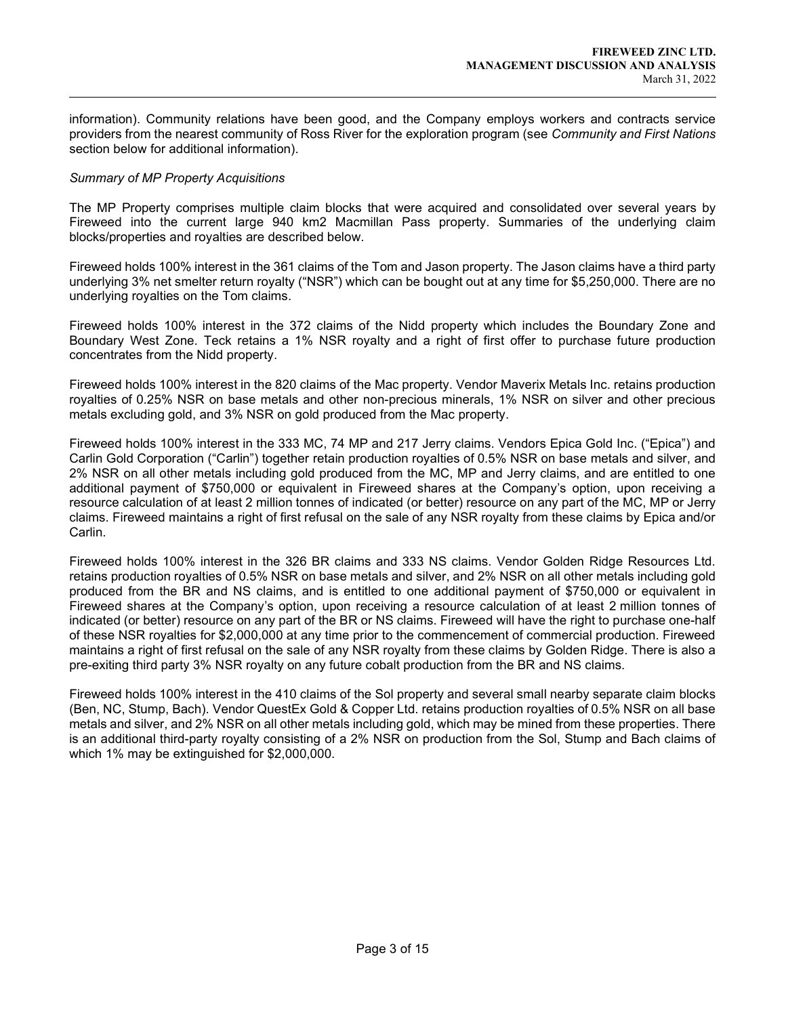information). Community relations have been good, and the Company employs workers and contracts service providers from the nearest community of Ross River for the exploration program (see Community and First Nations section below for additional information).

## Summary of MP Property Acquisitions

 $\overline{a}$ 

The MP Property comprises multiple claim blocks that were acquired and consolidated over several years by Fireweed into the current large 940 km2 Macmillan Pass property. Summaries of the underlying claim blocks/properties and royalties are described below.

Fireweed holds 100% interest in the 361 claims of the Tom and Jason property. The Jason claims have a third party underlying 3% net smelter return royalty ("NSR") which can be bought out at any time for \$5,250,000. There are no underlying royalties on the Tom claims.

Fireweed holds 100% interest in the 372 claims of the Nidd property which includes the Boundary Zone and Boundary West Zone. Teck retains a 1% NSR royalty and a right of first offer to purchase future production concentrates from the Nidd property.

Fireweed holds 100% interest in the 820 claims of the Mac property. Vendor Maverix Metals Inc. retains production royalties of 0.25% NSR on base metals and other non-precious minerals, 1% NSR on silver and other precious metals excluding gold, and 3% NSR on gold produced from the Mac property.

Fireweed holds 100% interest in the 333 MC, 74 MP and 217 Jerry claims. Vendors Epica Gold Inc. ("Epica") and Carlin Gold Corporation ("Carlin") together retain production royalties of 0.5% NSR on base metals and silver, and 2% NSR on all other metals including gold produced from the MC, MP and Jerry claims, and are entitled to one additional payment of \$750,000 or equivalent in Fireweed shares at the Company's option, upon receiving a resource calculation of at least 2 million tonnes of indicated (or better) resource on any part of the MC, MP or Jerry claims. Fireweed maintains a right of first refusal on the sale of any NSR royalty from these claims by Epica and/or Carlin.

Fireweed holds 100% interest in the 326 BR claims and 333 NS claims. Vendor Golden Ridge Resources Ltd. retains production royalties of 0.5% NSR on base metals and silver, and 2% NSR on all other metals including gold produced from the BR and NS claims, and is entitled to one additional payment of \$750,000 or equivalent in Fireweed shares at the Company's option, upon receiving a resource calculation of at least 2 million tonnes of indicated (or better) resource on any part of the BR or NS claims. Fireweed will have the right to purchase one-half of these NSR royalties for \$2,000,000 at any time prior to the commencement of commercial production. Fireweed maintains a right of first refusal on the sale of any NSR royalty from these claims by Golden Ridge. There is also a pre-exiting third party 3% NSR royalty on any future cobalt production from the BR and NS claims.

Fireweed holds 100% interest in the 410 claims of the Sol property and several small nearby separate claim blocks (Ben, NC, Stump, Bach). Vendor QuestEx Gold & Copper Ltd. retains production royalties of 0.5% NSR on all base metals and silver, and 2% NSR on all other metals including gold, which may be mined from these properties. There is an additional third-party royalty consisting of a 2% NSR on production from the Sol, Stump and Bach claims of which 1% may be extinguished for \$2,000,000.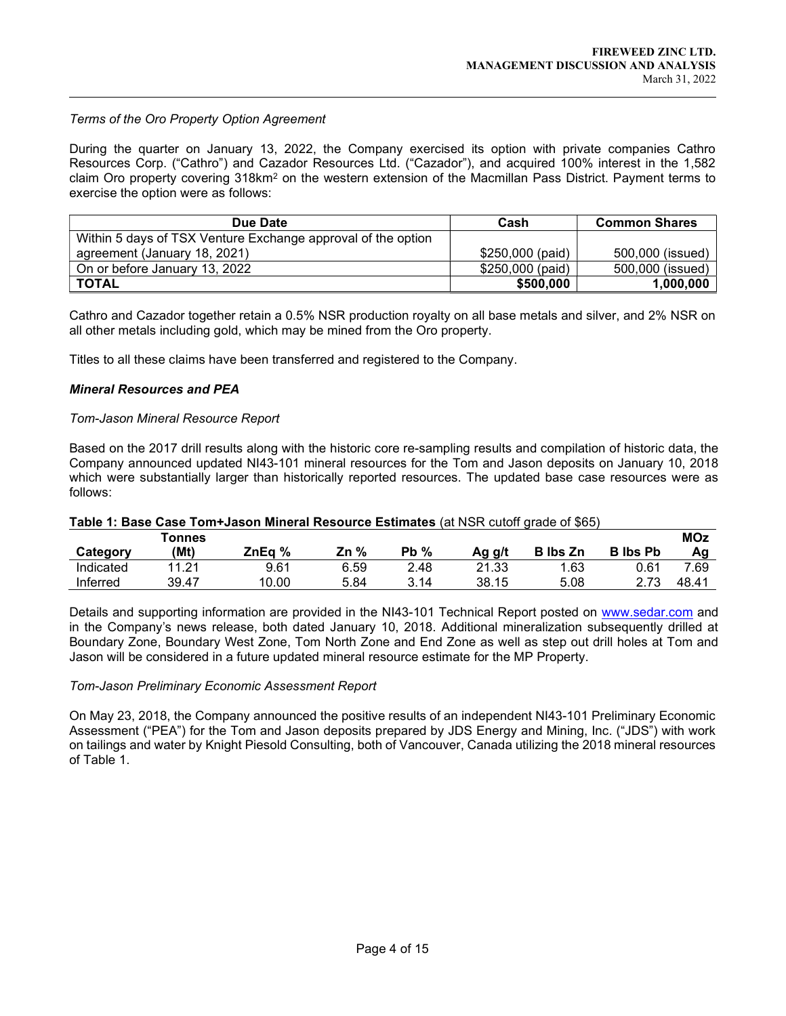## Terms of the Oro Property Option Agreement

 $\overline{a}$ 

During the quarter on January 13, 2022, the Company exercised its option with private companies Cathro Resources Corp. ("Cathro") and Cazador Resources Ltd. ("Cazador"), and acquired 100% interest in the 1,582 claim Oro property covering 318km<sup>2</sup> on the western extension of the Macmillan Pass District. Payment terms to exercise the option were as follows:

| Due Date                                                     | Cash             | <b>Common Shares</b> |
|--------------------------------------------------------------|------------------|----------------------|
| Within 5 days of TSX Venture Exchange approval of the option |                  |                      |
| agreement (January 18, 2021)                                 | \$250,000 (paid) | 500,000 (issued)     |
| On or before January 13, 2022                                | \$250,000 (paid) | 500,000 (issued)     |
| <b>TOTAL</b>                                                 | \$500,000        | 1,000,000            |

Cathro and Cazador together retain a 0.5% NSR production royalty on all base metals and silver, and 2% NSR on all other metals including gold, which may be mined from the Oro property.

Titles to all these claims have been transferred and registered to the Company.

#### Mineral Resources and PEA

#### Tom-Jason Mineral Resource Report

Based on the 2017 drill results along with the historic core re-sampling results and compilation of historic data, the Company announced updated NI43-101 mineral resources for the Tom and Jason deposits on January 10, 2018 which were substantially larger than historically reported resources. The updated base case resources were as follows:

| Table 1: Base Case Tom+Jason Mineral Resource Estimates (at NSR cutoff grade of \$65) |  |
|---------------------------------------------------------------------------------------|--|
|---------------------------------------------------------------------------------------|--|

|           | Tonnes |        |         |         |        |                 |                 | <b>MOz</b> |
|-----------|--------|--------|---------|---------|--------|-----------------|-----------------|------------|
| Category  | (Mt)   | ZnEg % | %<br>Zn | %<br>Pb | Ag g/t | <b>B</b> lbs Zn | <b>B</b> lbs Pb | Αg         |
| Indicated | 11 21  | 9.61   | 6.59    | 2.48    | 21.33  | .63             | 0.61            | 7.69       |
| Inferred  | 39.47  | 10.00  | 5.84    | 3.14    | 38.15  | 5.08            | 2.73            | 48.41      |

Details and supporting information are provided in the NI43-101 Technical Report posted on www.sedar.com and in the Company's news release, both dated January 10, 2018. Additional mineralization subsequently drilled at Boundary Zone, Boundary West Zone, Tom North Zone and End Zone as well as step out drill holes at Tom and Jason will be considered in a future updated mineral resource estimate for the MP Property.

#### Tom-Jason Preliminary Economic Assessment Report

On May 23, 2018, the Company announced the positive results of an independent NI43-101 Preliminary Economic Assessment ("PEA") for the Tom and Jason deposits prepared by JDS Energy and Mining, Inc. ("JDS") with work on tailings and water by Knight Piesold Consulting, both of Vancouver, Canada utilizing the 2018 mineral resources of Table 1.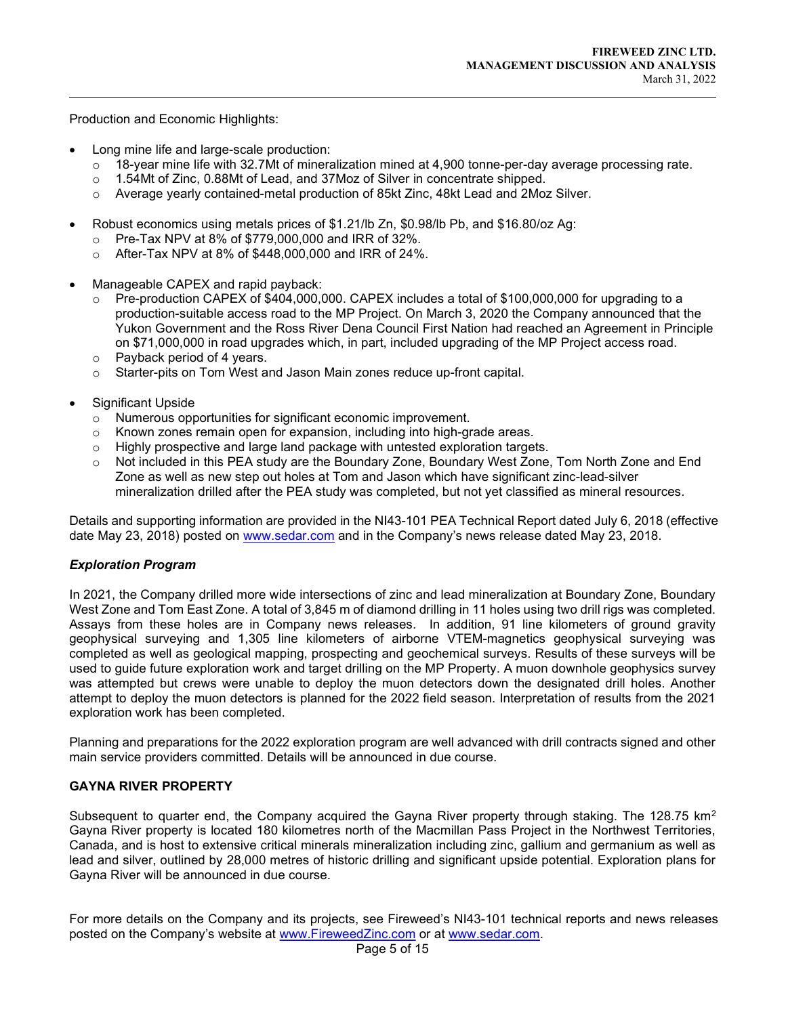Production and Economic Highlights:

 $\overline{a}$ 

- Long mine life and large-scale production:
	- $\circ$  18-year mine life with 32.7Mt of mineralization mined at 4,900 tonne-per-day average processing rate.
	- o 1.54Mt of Zinc, 0.88Mt of Lead, and 37Moz of Silver in concentrate shipped.
	- $\circ$  Average yearly contained-metal production of 85kt Zinc, 48kt Lead and 2Moz Silver.
- Robust economics using metals prices of \$1.21/lb Zn, \$0.98/lb Pb, and \$16.80/oz Ag:
	- Pre-Tax NPV at 8% of \$779,000,000 and IRR of 32%.
	- o After-Tax NPV at 8% of \$448,000,000 and IRR of 24%.
- Manageable CAPEX and rapid payback:
	- $\circ$  Pre-production CAPEX of \$404,000,000. CAPEX includes a total of \$100,000,000 for upgrading to a production-suitable access road to the MP Project. On March 3, 2020 the Company announced that the Yukon Government and the Ross River Dena Council First Nation had reached an Agreement in Principle on \$71,000,000 in road upgrades which, in part, included upgrading of the MP Project access road.
	- o Payback period of 4 years.
	- o Starter-pits on Tom West and Jason Main zones reduce up-front capital.
- Significant Upside
	- o Numerous opportunities for significant economic improvement.
	- o Known zones remain open for expansion, including into high-grade areas.
	- $\circ$  Highly prospective and large land package with untested exploration targets.
	- o Not included in this PEA study are the Boundary Zone, Boundary West Zone, Tom North Zone and End Zone as well as new step out holes at Tom and Jason which have significant zinc-lead-silver mineralization drilled after the PEA study was completed, but not yet classified as mineral resources.

Details and supporting information are provided in the NI43-101 PEA Technical Report dated July 6, 2018 (effective date May 23, 2018) posted on www.sedar.com and in the Company's news release dated May 23, 2018.

# Exploration Program

In 2021, the Company drilled more wide intersections of zinc and lead mineralization at Boundary Zone, Boundary West Zone and Tom East Zone. A total of 3,845 m of diamond drilling in 11 holes using two drill rigs was completed. Assays from these holes are in Company news releases. In addition, 91 line kilometers of ground gravity geophysical surveying and 1,305 line kilometers of airborne VTEM-magnetics geophysical surveying was completed as well as geological mapping, prospecting and geochemical surveys. Results of these surveys will be used to guide future exploration work and target drilling on the MP Property. A muon downhole geophysics survey was attempted but crews were unable to deploy the muon detectors down the designated drill holes. Another attempt to deploy the muon detectors is planned for the 2022 field season. Interpretation of results from the 2021 exploration work has been completed.

Planning and preparations for the 2022 exploration program are well advanced with drill contracts signed and other main service providers committed. Details will be announced in due course.

# GAYNA RIVER PROPERTY

Subsequent to quarter end, the Company acquired the Gayna River property through staking. The 128.75 km<sup>2</sup> Gayna River property is located 180 kilometres north of the Macmillan Pass Project in the Northwest Territories, Canada, and is host to extensive critical minerals mineralization including zinc, gallium and germanium as well as lead and silver, outlined by 28,000 metres of historic drilling and significant upside potential. Exploration plans for Gayna River will be announced in due course.

For more details on the Company and its projects, see Fireweed's NI43-101 technical reports and news releases posted on the Company's website at www.FireweedZinc.com or at www.sedar.com.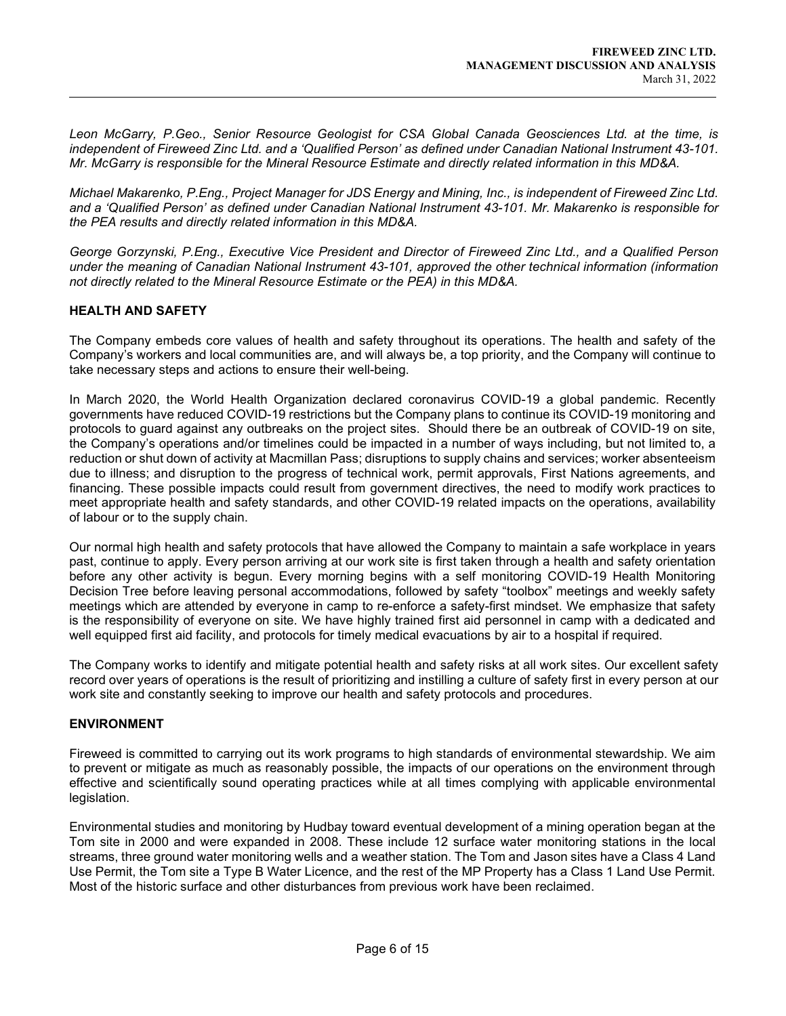Leon McGarry, P.Geo., Senior Resource Geologist for CSA Global Canada Geosciences Ltd. at the time, is independent of Fireweed Zinc Ltd. and a 'Qualified Person' as defined under Canadian National Instrument 43-101. Mr. McGarry is responsible for the Mineral Resource Estimate and directly related information in this MD&A.

Michael Makarenko, P.Eng., Project Manager for JDS Energy and Mining, Inc., is independent of Fireweed Zinc Ltd. and a 'Qualified Person' as defined under Canadian National Instrument 43-101. Mr. Makarenko is responsible for the PEA results and directly related information in this MD&A.

George Gorzynski, P.Eng., Executive Vice President and Director of Fireweed Zinc Ltd., and a Qualified Person under the meaning of Canadian National Instrument 43-101, approved the other technical information (information not directly related to the Mineral Resource Estimate or the PEA) in this MD&A.

# HEALTH AND SAFETY

 $\overline{a}$ 

The Company embeds core values of health and safety throughout its operations. The health and safety of the Company's workers and local communities are, and will always be, a top priority, and the Company will continue to take necessary steps and actions to ensure their well-being.

In March 2020, the World Health Organization declared coronavirus COVID-19 a global pandemic. Recently governments have reduced COVID-19 restrictions but the Company plans to continue its COVID-19 monitoring and protocols to guard against any outbreaks on the project sites. Should there be an outbreak of COVID-19 on site, the Company's operations and/or timelines could be impacted in a number of ways including, but not limited to, a reduction or shut down of activity at Macmillan Pass; disruptions to supply chains and services; worker absenteeism due to illness; and disruption to the progress of technical work, permit approvals, First Nations agreements, and financing. These possible impacts could result from government directives, the need to modify work practices to meet appropriate health and safety standards, and other COVID-19 related impacts on the operations, availability of labour or to the supply chain.

Our normal high health and safety protocols that have allowed the Company to maintain a safe workplace in years past, continue to apply. Every person arriving at our work site is first taken through a health and safety orientation before any other activity is begun. Every morning begins with a self monitoring COVID-19 Health Monitoring Decision Tree before leaving personal accommodations, followed by safety "toolbox" meetings and weekly safety meetings which are attended by everyone in camp to re-enforce a safety-first mindset. We emphasize that safety is the responsibility of everyone on site. We have highly trained first aid personnel in camp with a dedicated and well equipped first aid facility, and protocols for timely medical evacuations by air to a hospital if required.

The Company works to identify and mitigate potential health and safety risks at all work sites. Our excellent safety record over years of operations is the result of prioritizing and instilling a culture of safety first in every person at our work site and constantly seeking to improve our health and safety protocols and procedures.

## ENVIRONMENT

Fireweed is committed to carrying out its work programs to high standards of environmental stewardship. We aim to prevent or mitigate as much as reasonably possible, the impacts of our operations on the environment through effective and scientifically sound operating practices while at all times complying with applicable environmental legislation.

Environmental studies and monitoring by Hudbay toward eventual development of a mining operation began at the Tom site in 2000 and were expanded in 2008. These include 12 surface water monitoring stations in the local streams, three ground water monitoring wells and a weather station. The Tom and Jason sites have a Class 4 Land Use Permit, the Tom site a Type B Water Licence, and the rest of the MP Property has a Class 1 Land Use Permit. Most of the historic surface and other disturbances from previous work have been reclaimed.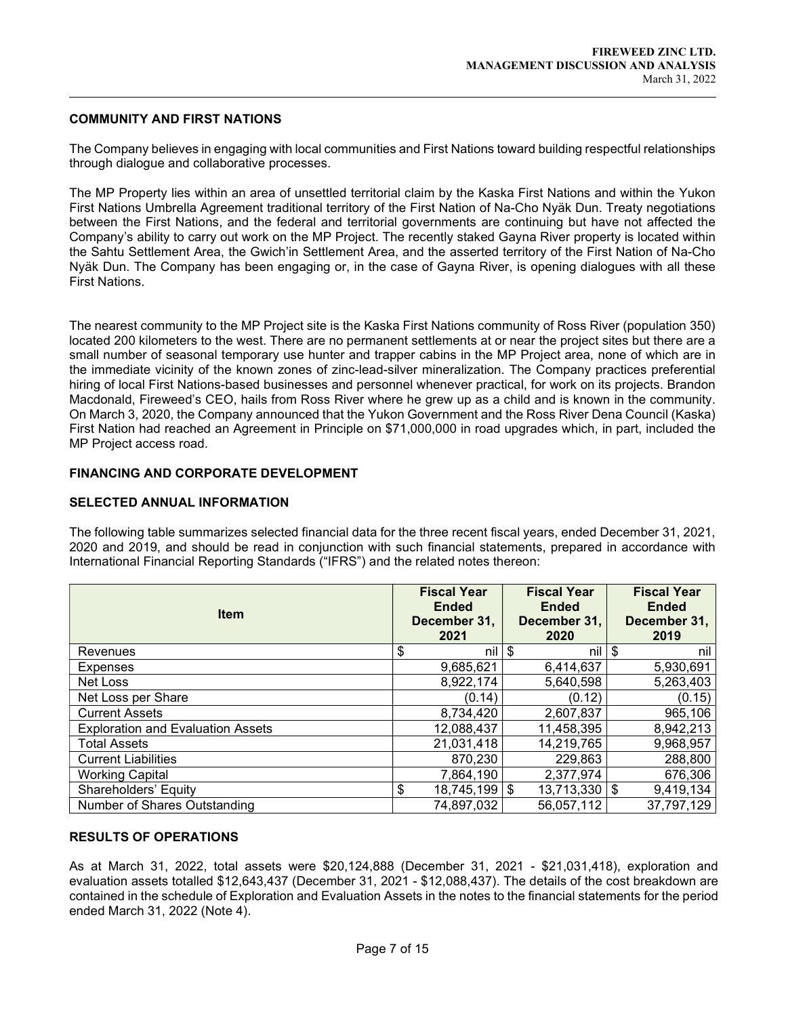## COMMUNITY AND FIRST NATIONS

 $\overline{a}$ 

The Company believes in engaging with local communities and First Nations toward building respectful relationships through dialogue and collaborative processes.

The MP Property lies within an area of unsettled territorial claim by the Kaska First Nations and within the Yukon First Nations Umbrella Agreement traditional territory of the First Nation of Na-Cho Nyäk Dun. Treaty negotiations between the First Nations, and the federal and territorial governments are continuing but have not affected the Company's ability to carry out work on the MP Project. The recently staked Gayna River property is located within the Sahtu Settlement Area, the Gwich'in Settlement Area, and the asserted territory of the First Nation of Na-Cho Nyäk Dun. The Company has been engaging or, in the case of Gayna River, is opening dialogues with all these First Nations.

The nearest community to the MP Project site is the Kaska First Nations community of Ross River (population 350) located 200 kilometers to the west. There are no permanent settlements at or near the project sites but there are a small number of seasonal temporary use hunter and trapper cabins in the MP Project area, none of which are in the immediate vicinity of the known zones of zinc-lead-silver mineralization. The Company practices preferential hiring of local First Nations-based businesses and personnel whenever practical, for work on its projects. Brandon Macdonald, Fireweed's CEO, hails from Ross River where he grew up as a child and is known in the community. On March 3, 2020, the Company announced that the Yukon Government and the Ross River Dena Council (Kaska) First Nation had reached an Agreement in Principle on \$71,000,000 in road upgrades which, in part, included the MP Project access road.

## FINANCING AND CORPORATE DEVELOPMENT

## SELECTED ANNUAL INFORMATION

The following table summarizes selected financial data for the three recent fiscal years, ended December 31, 2021, 2020 and 2019, and should be read in conjunction with such financial statements, prepared in accordance with International Financial Reporting Standards ("IFRS") and the related notes thereon:

| <b>Item</b>                              | <b>Fiscal Year</b><br><b>Ended</b><br>December 31,<br>2021 | <b>Fiscal Year</b><br><b>Ended</b><br>December 31,<br>2020 | <b>Fiscal Year</b><br><b>Ended</b><br>December 31,<br>2019 |
|------------------------------------------|------------------------------------------------------------|------------------------------------------------------------|------------------------------------------------------------|
| Revenues                                 | \$<br>nil l                                                | \$<br>nil l                                                | \$<br>nil                                                  |
| <b>Expenses</b>                          | 9,685,621                                                  | 6,414,637                                                  | 5,930,691                                                  |
| Net Loss                                 | 8,922,174                                                  | 5,640,598                                                  | 5,263,403                                                  |
| Net Loss per Share                       | (0.14)                                                     | (0.12)                                                     | (0.15)                                                     |
| <b>Current Assets</b>                    | 8,734,420                                                  | 2,607,837                                                  | 965,106                                                    |
| <b>Exploration and Evaluation Assets</b> | 12,088,437                                                 | 11,458,395                                                 | 8,942,213                                                  |
| <b>Total Assets</b>                      | 21,031,418                                                 | 14,219,765                                                 | 9,968,957                                                  |
| <b>Current Liabilities</b>               | 870,230                                                    | 229,863                                                    | 288,800                                                    |
| <b>Working Capital</b>                   | 7,864,190                                                  | 2,377,974                                                  | 676,306                                                    |
| Shareholders' Equity                     | \$<br>$18,745,199$ \$                                      | $13,713,330$ \\$                                           | 9,419,134                                                  |
| Number of Shares Outstanding             | 74,897,032                                                 | 56,057,112                                                 | 37,797,129                                                 |

## RESULTS OF OPERATIONS

As at March 31, 2022, total assets were \$20,124,888 (December 31, 2021 - \$21,031,418), exploration and evaluation assets totalled \$12,643,437 (December 31, 2021 - \$12,088,437). The details of the cost breakdown are contained in the schedule of Exploration and Evaluation Assets in the notes to the financial statements for the period ended March 31, 2022 (Note 4).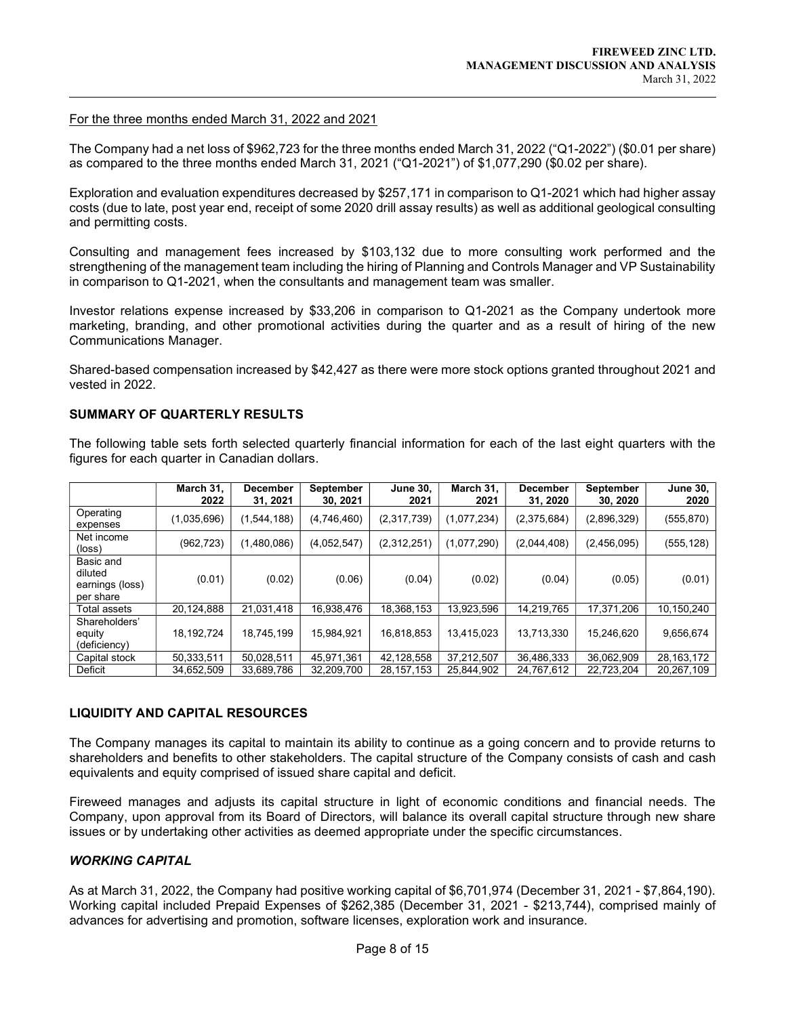#### For the three months ended March 31, 2022 and 2021

 $\overline{a}$ 

The Company had a net loss of \$962,723 for the three months ended March 31, 2022 ("Q1-2022") (\$0.01 per share) as compared to the three months ended March 31, 2021 ("Q1-2021") of \$1,077,290 (\$0.02 per share).

Exploration and evaluation expenditures decreased by \$257,171 in comparison to Q1-2021 which had higher assay costs (due to late, post year end, receipt of some 2020 drill assay results) as well as additional geological consulting and permitting costs.

Consulting and management fees increased by \$103,132 due to more consulting work performed and the strengthening of the management team including the hiring of Planning and Controls Manager and VP Sustainability in comparison to Q1-2021, when the consultants and management team was smaller.

Investor relations expense increased by \$33,206 in comparison to Q1-2021 as the Company undertook more marketing, branding, and other promotional activities during the quarter and as a result of hiring of the new Communications Manager.

Shared-based compensation increased by \$42,427 as there were more stock options granted throughout 2021 and vested in 2022.

## SUMMARY OF QUARTERLY RESULTS

The following table sets forth selected quarterly financial information for each of the last eight quarters with the figures for each quarter in Canadian dollars.

|                                                      | March 31,<br>2022 | <b>December</b><br>31, 2021 | September<br>30, 2021 | <b>June 30,</b><br>2021 | March 31,<br>2021 | <b>December</b><br>31, 2020 | September<br>30, 2020 | <b>June 30,</b><br>2020 |
|------------------------------------------------------|-------------------|-----------------------------|-----------------------|-------------------------|-------------------|-----------------------------|-----------------------|-------------------------|
| Operating<br>expenses                                | (1,035,696)       | (1,544,188)                 | (4,746,460)           | (2,317,739)             | (1,077,234)       | (2,375,684)                 | (2,896,329)           | (555, 870)              |
| Net income<br>$(\text{loss})$                        | (962, 723)        | (1,480,086)                 | (4,052,547)           | (2,312,251)             | (1,077,290)       | (2,044,408)                 | (2,456,095)           | (555, 128)              |
| Basic and<br>diluted<br>earnings (loss)<br>per share | (0.01)            | (0.02)                      | (0.06)                | (0.04)                  | (0.02)            | (0.04)                      | (0.05)                | (0.01)                  |
| Total assets                                         | 20,124,888        | 21,031,418                  | 16,938,476            | 18,368,153              | 13,923,596        | 14,219,765                  | 17,371,206            | 10,150,240              |
| Shareholders'<br>equity<br>(deficiency)              | 18,192,724        | 18,745,199                  | 15,984,921            | 16,818,853              | 13,415,023        | 13,713,330                  | 15,246,620            | 9,656,674               |
| Capital stock                                        | 50,333,511        | 50,028,511                  | 45,971,361            | 42,128,558              | 37,212,507        | 36,486,333                  | 36,062,909            | 28, 163, 172            |
| Deficit                                              | 34,652,509        | 33,689,786                  | 32,209,700            | 28, 157, 153            | 25,844,902        | 24,767,612                  | 22,723,204            | 20,267,109              |

## LIQUIDITY AND CAPITAL RESOURCES

The Company manages its capital to maintain its ability to continue as a going concern and to provide returns to shareholders and benefits to other stakeholders. The capital structure of the Company consists of cash and cash equivalents and equity comprised of issued share capital and deficit.

Fireweed manages and adjusts its capital structure in light of economic conditions and financial needs. The Company, upon approval from its Board of Directors, will balance its overall capital structure through new share issues or by undertaking other activities as deemed appropriate under the specific circumstances.

# WORKING CAPITAL

As at March 31, 2022, the Company had positive working capital of \$6,701,974 (December 31, 2021 - \$7,864,190). Working capital included Prepaid Expenses of \$262,385 (December 31, 2021 - \$213,744), comprised mainly of advances for advertising and promotion, software licenses, exploration work and insurance.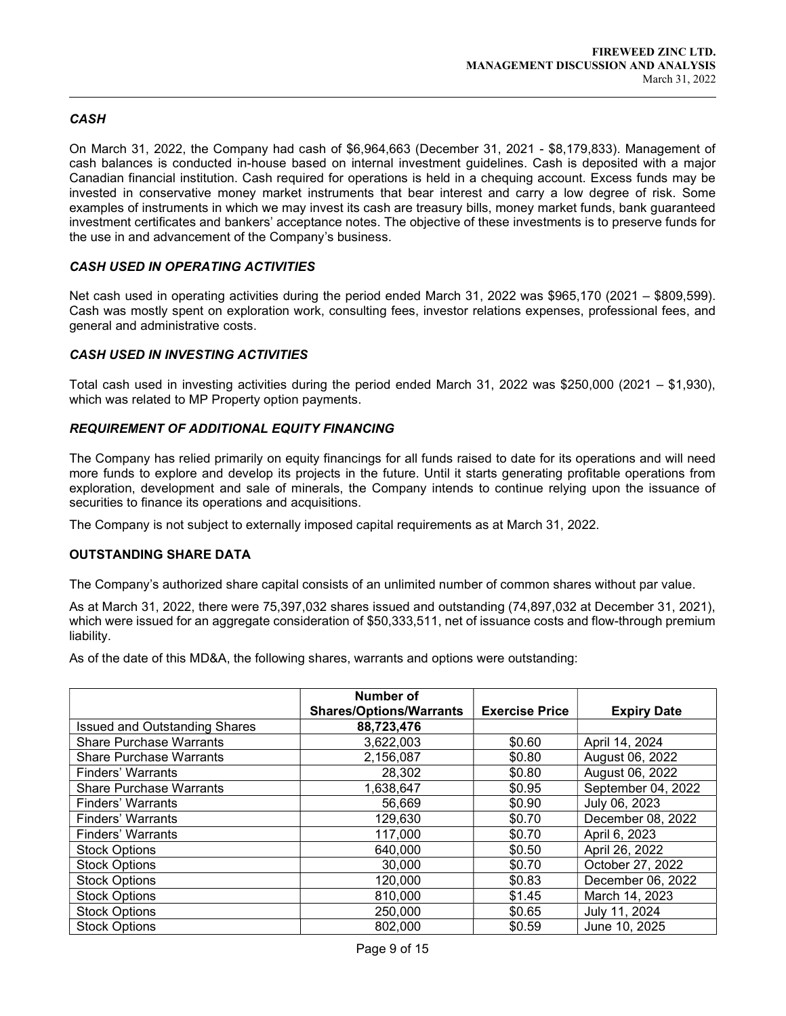# **CASH**

 $\overline{a}$ 

On March 31, 2022, the Company had cash of \$6,964,663 (December 31, 2021 - \$8,179,833). Management of cash balances is conducted in-house based on internal investment guidelines. Cash is deposited with a major Canadian financial institution. Cash required for operations is held in a chequing account. Excess funds may be invested in conservative money market instruments that bear interest and carry a low degree of risk. Some examples of instruments in which we may invest its cash are treasury bills, money market funds, bank guaranteed investment certificates and bankers' acceptance notes. The objective of these investments is to preserve funds for the use in and advancement of the Company's business.

# CASH USED IN OPERATING ACTIVITIES

Net cash used in operating activities during the period ended March 31, 2022 was \$965,170 (2021 – \$809,599). Cash was mostly spent on exploration work, consulting fees, investor relations expenses, professional fees, and general and administrative costs.

# CASH USED IN INVESTING ACTIVITIES

Total cash used in investing activities during the period ended March 31, 2022 was \$250,000 (2021 – \$1,930), which was related to MP Property option payments.

# REQUIREMENT OF ADDITIONAL EQUITY FINANCING

The Company has relied primarily on equity financings for all funds raised to date for its operations and will need more funds to explore and develop its projects in the future. Until it starts generating profitable operations from exploration, development and sale of minerals, the Company intends to continue relying upon the issuance of securities to finance its operations and acquisitions.

The Company is not subject to externally imposed capital requirements as at March 31, 2022.

## OUTSTANDING SHARE DATA

The Company's authorized share capital consists of an unlimited number of common shares without par value.

As at March 31, 2022, there were 75,397,032 shares issued and outstanding (74,897,032 at December 31, 2021), which were issued for an aggregate consideration of \$50,333,511, net of issuance costs and flow-through premium liability.

As of the date of this MD&A, the following shares, warrants and options were outstanding:

|                                      | Number of<br><b>Shares/Options/Warrants</b> | <b>Exercise Price</b> | <b>Expiry Date</b> |
|--------------------------------------|---------------------------------------------|-----------------------|--------------------|
| <b>Issued and Outstanding Shares</b> | 88,723,476                                  |                       |                    |
| <b>Share Purchase Warrants</b>       | 3,622,003                                   | \$0.60                | April 14, 2024     |
| <b>Share Purchase Warrants</b>       | 2,156,087                                   | \$0.80                | August 06, 2022    |
| <b>Finders' Warrants</b>             | 28,302                                      | \$0.80                | August 06, 2022    |
| <b>Share Purchase Warrants</b>       | 1,638,647                                   | \$0.95                | September 04, 2022 |
| Finders' Warrants                    | 56,669                                      | \$0.90                | July 06, 2023      |
| <b>Finders' Warrants</b>             | 129,630                                     | \$0.70                | December 08, 2022  |
| Finders' Warrants                    | 117,000                                     | \$0.70                | April 6, 2023      |
| <b>Stock Options</b>                 | 640,000                                     | \$0.50                | April 26, 2022     |
| <b>Stock Options</b>                 | 30,000                                      | \$0.70                | October 27, 2022   |
| <b>Stock Options</b>                 | 120,000                                     | \$0.83                | December 06, 2022  |
| <b>Stock Options</b>                 | 810,000                                     | \$1.45                | March 14, 2023     |
| <b>Stock Options</b>                 | 250,000                                     | \$0.65                | July 11, 2024      |
| <b>Stock Options</b>                 | 802,000                                     | \$0.59                | June 10, 2025      |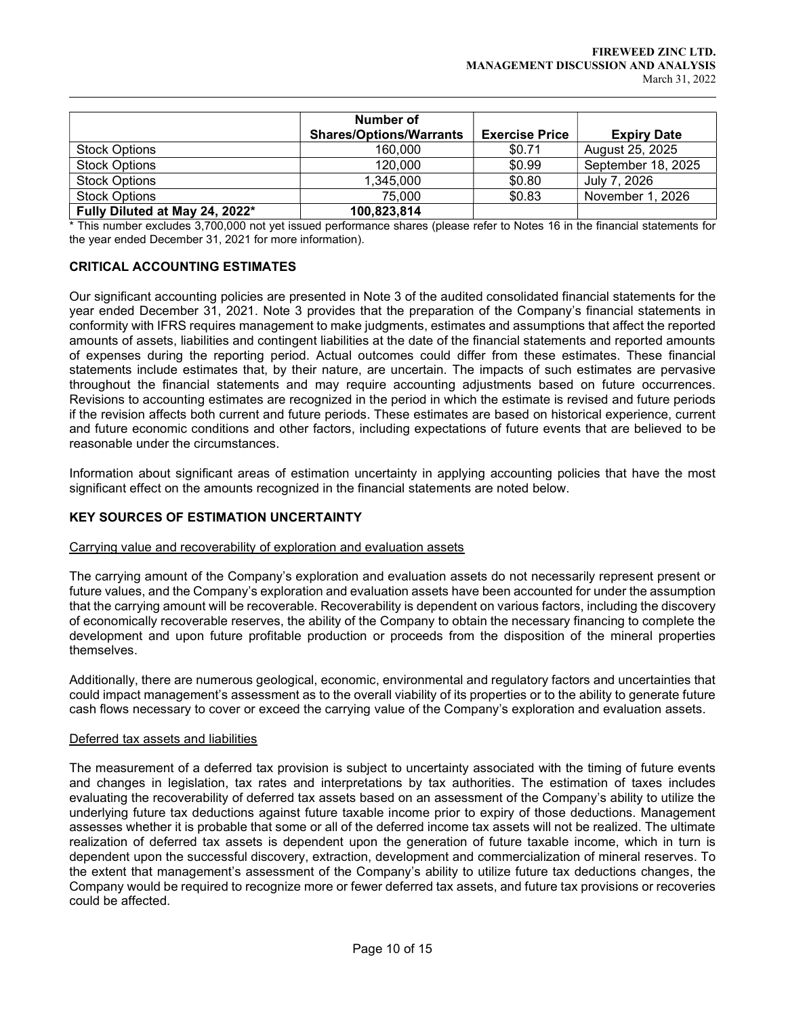|                                | Number of<br><b>Shares/Options/Warrants</b> | <b>Exercise Price</b> | <b>Expiry Date</b> |
|--------------------------------|---------------------------------------------|-----------------------|--------------------|
| <b>Stock Options</b>           | 160,000                                     | \$0.71                | August 25, 2025    |
| <b>Stock Options</b>           | 120,000                                     | \$0.99                | September 18, 2025 |
| <b>Stock Options</b>           | 1,345,000                                   | \$0.80                | July 7, 2026       |
| <b>Stock Options</b>           | 75,000                                      | \$0.83                | November 1, 2026   |
| Fully Diluted at May 24, 2022* | 100,823,814                                 |                       |                    |

\* This number excludes 3,700,000 not yet issued performance shares (please refer to Notes 16 in the financial statements for the year ended December 31, 2021 for more information).

# CRITICAL ACCOUNTING ESTIMATES

 $\overline{a}$ 

Our significant accounting policies are presented in Note 3 of the audited consolidated financial statements for the year ended December 31, 2021. Note 3 provides that the preparation of the Company's financial statements in conformity with IFRS requires management to make judgments, estimates and assumptions that affect the reported amounts of assets, liabilities and contingent liabilities at the date of the financial statements and reported amounts of expenses during the reporting period. Actual outcomes could differ from these estimates. These financial statements include estimates that, by their nature, are uncertain. The impacts of such estimates are pervasive throughout the financial statements and may require accounting adjustments based on future occurrences. Revisions to accounting estimates are recognized in the period in which the estimate is revised and future periods if the revision affects both current and future periods. These estimates are based on historical experience, current and future economic conditions and other factors, including expectations of future events that are believed to be reasonable under the circumstances.

Information about significant areas of estimation uncertainty in applying accounting policies that have the most significant effect on the amounts recognized in the financial statements are noted below.

## KEY SOURCES OF ESTIMATION UNCERTAINTY

## Carrying value and recoverability of exploration and evaluation assets

The carrying amount of the Company's exploration and evaluation assets do not necessarily represent present or future values, and the Company's exploration and evaluation assets have been accounted for under the assumption that the carrying amount will be recoverable. Recoverability is dependent on various factors, including the discovery of economically recoverable reserves, the ability of the Company to obtain the necessary financing to complete the development and upon future profitable production or proceeds from the disposition of the mineral properties themselves.

Additionally, there are numerous geological, economic, environmental and regulatory factors and uncertainties that could impact management's assessment as to the overall viability of its properties or to the ability to generate future cash flows necessary to cover or exceed the carrying value of the Company's exploration and evaluation assets.

#### Deferred tax assets and liabilities

The measurement of a deferred tax provision is subject to uncertainty associated with the timing of future events and changes in legislation, tax rates and interpretations by tax authorities. The estimation of taxes includes evaluating the recoverability of deferred tax assets based on an assessment of the Company's ability to utilize the underlying future tax deductions against future taxable income prior to expiry of those deductions. Management assesses whether it is probable that some or all of the deferred income tax assets will not be realized. The ultimate realization of deferred tax assets is dependent upon the generation of future taxable income, which in turn is dependent upon the successful discovery, extraction, development and commercialization of mineral reserves. To the extent that management's assessment of the Company's ability to utilize future tax deductions changes, the Company would be required to recognize more or fewer deferred tax assets, and future tax provisions or recoveries could be affected.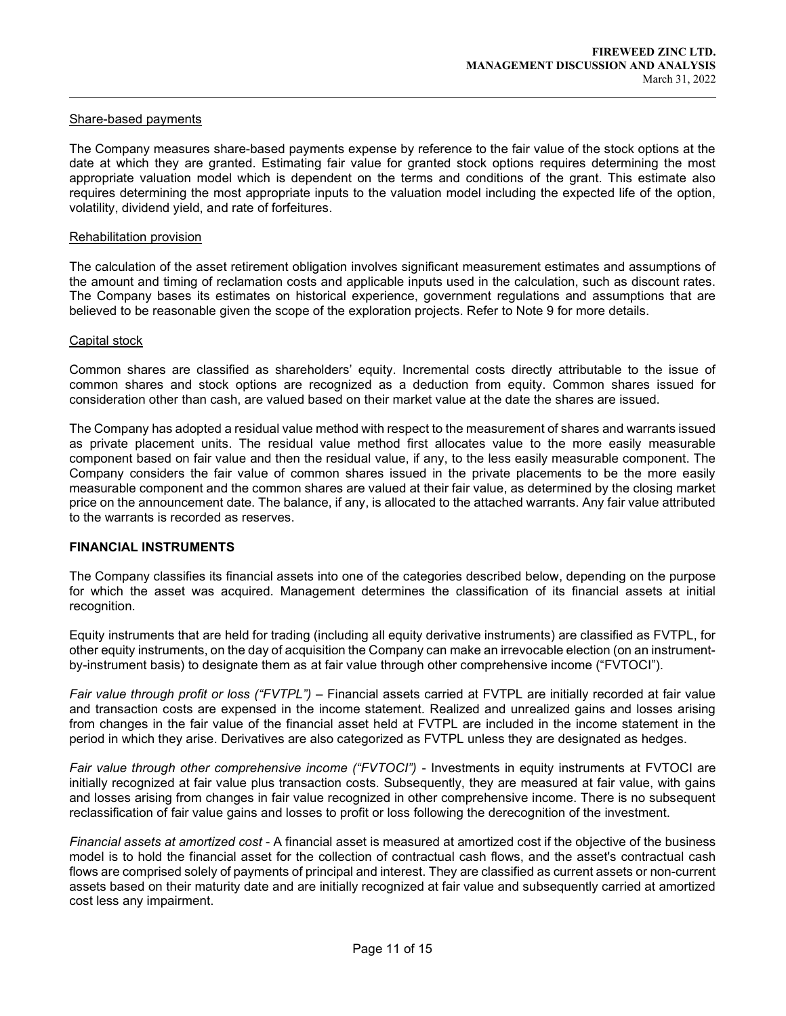#### Share-based payments

 $\overline{a}$ 

The Company measures share-based payments expense by reference to the fair value of the stock options at the date at which they are granted. Estimating fair value for granted stock options requires determining the most appropriate valuation model which is dependent on the terms and conditions of the grant. This estimate also requires determining the most appropriate inputs to the valuation model including the expected life of the option, volatility, dividend yield, and rate of forfeitures.

#### Rehabilitation provision

The calculation of the asset retirement obligation involves significant measurement estimates and assumptions of the amount and timing of reclamation costs and applicable inputs used in the calculation, such as discount rates. The Company bases its estimates on historical experience, government regulations and assumptions that are believed to be reasonable given the scope of the exploration projects. Refer to Note 9 for more details.

#### Capital stock

Common shares are classified as shareholders' equity. Incremental costs directly attributable to the issue of common shares and stock options are recognized as a deduction from equity. Common shares issued for consideration other than cash, are valued based on their market value at the date the shares are issued.

The Company has adopted a residual value method with respect to the measurement of shares and warrants issued as private placement units. The residual value method first allocates value to the more easily measurable component based on fair value and then the residual value, if any, to the less easily measurable component. The Company considers the fair value of common shares issued in the private placements to be the more easily measurable component and the common shares are valued at their fair value, as determined by the closing market price on the announcement date. The balance, if any, is allocated to the attached warrants. Any fair value attributed to the warrants is recorded as reserves.

#### FINANCIAL INSTRUMENTS

The Company classifies its financial assets into one of the categories described below, depending on the purpose for which the asset was acquired. Management determines the classification of its financial assets at initial recognition.

Equity instruments that are held for trading (including all equity derivative instruments) are classified as FVTPL, for other equity instruments, on the day of acquisition the Company can make an irrevocable election (on an instrumentby-instrument basis) to designate them as at fair value through other comprehensive income ("FVTOCI").

Fair value through profit or loss ("FVTPL") – Financial assets carried at FVTPL are initially recorded at fair value and transaction costs are expensed in the income statement. Realized and unrealized gains and losses arising from changes in the fair value of the financial asset held at FVTPL are included in the income statement in the period in which they arise. Derivatives are also categorized as FVTPL unless they are designated as hedges.

Fair value through other comprehensive income ("FVTOCI") - Investments in equity instruments at FVTOCI are initially recognized at fair value plus transaction costs. Subsequently, they are measured at fair value, with gains and losses arising from changes in fair value recognized in other comprehensive income. There is no subsequent reclassification of fair value gains and losses to profit or loss following the derecognition of the investment.

Financial assets at amortized cost - A financial asset is measured at amortized cost if the objective of the business model is to hold the financial asset for the collection of contractual cash flows, and the asset's contractual cash flows are comprised solely of payments of principal and interest. They are classified as current assets or non-current assets based on their maturity date and are initially recognized at fair value and subsequently carried at amortized cost less any impairment.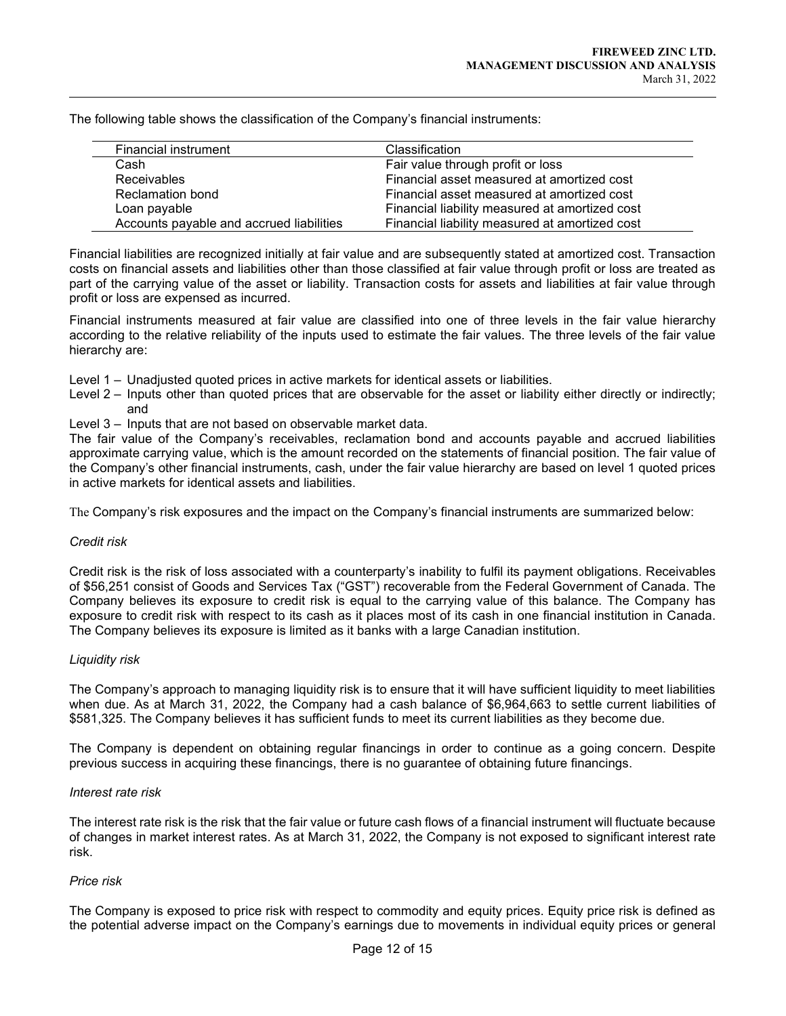The following table shows the classification of the Company's financial instruments:

| Financial instrument                     | Classification                                 |
|------------------------------------------|------------------------------------------------|
| Cash                                     | Fair value through profit or loss              |
| <b>Receivables</b>                       | Financial asset measured at amortized cost     |
| Reclamation bond                         | Financial asset measured at amortized cost     |
| Loan payable                             | Financial liability measured at amortized cost |
| Accounts payable and accrued liabilities | Financial liability measured at amortized cost |

Financial liabilities are recognized initially at fair value and are subsequently stated at amortized cost. Transaction costs on financial assets and liabilities other than those classified at fair value through profit or loss are treated as part of the carrying value of the asset or liability. Transaction costs for assets and liabilities at fair value through profit or loss are expensed as incurred.

Financial instruments measured at fair value are classified into one of three levels in the fair value hierarchy according to the relative reliability of the inputs used to estimate the fair values. The three levels of the fair value hierarchy are:

- Level 1 Unadjusted quoted prices in active markets for identical assets or liabilities.
- Level 2 Inputs other than quoted prices that are observable for the asset or liability either directly or indirectly; and
- Level 3 Inputs that are not based on observable market data.

The fair value of the Company's receivables, reclamation bond and accounts payable and accrued liabilities approximate carrying value, which is the amount recorded on the statements of financial position. The fair value of the Company's other financial instruments, cash, under the fair value hierarchy are based on level 1 quoted prices in active markets for identical assets and liabilities.

The Company's risk exposures and the impact on the Company's financial instruments are summarized below:

## Credit risk

 $\overline{a}$ 

Credit risk is the risk of loss associated with a counterparty's inability to fulfil its payment obligations. Receivables of \$56,251 consist of Goods and Services Tax ("GST") recoverable from the Federal Government of Canada. The Company believes its exposure to credit risk is equal to the carrying value of this balance. The Company has exposure to credit risk with respect to its cash as it places most of its cash in one financial institution in Canada. The Company believes its exposure is limited as it banks with a large Canadian institution.

## Liquidity risk

The Company's approach to managing liquidity risk is to ensure that it will have sufficient liquidity to meet liabilities when due. As at March 31, 2022, the Company had a cash balance of \$6,964,663 to settle current liabilities of \$581,325. The Company believes it has sufficient funds to meet its current liabilities as they become due.

The Company is dependent on obtaining regular financings in order to continue as a going concern. Despite previous success in acquiring these financings, there is no guarantee of obtaining future financings.

#### Interest rate risk

The interest rate risk is the risk that the fair value or future cash flows of a financial instrument will fluctuate because of changes in market interest rates. As at March 31, 2022, the Company is not exposed to significant interest rate risk.

## Price risk

The Company is exposed to price risk with respect to commodity and equity prices. Equity price risk is defined as the potential adverse impact on the Company's earnings due to movements in individual equity prices or general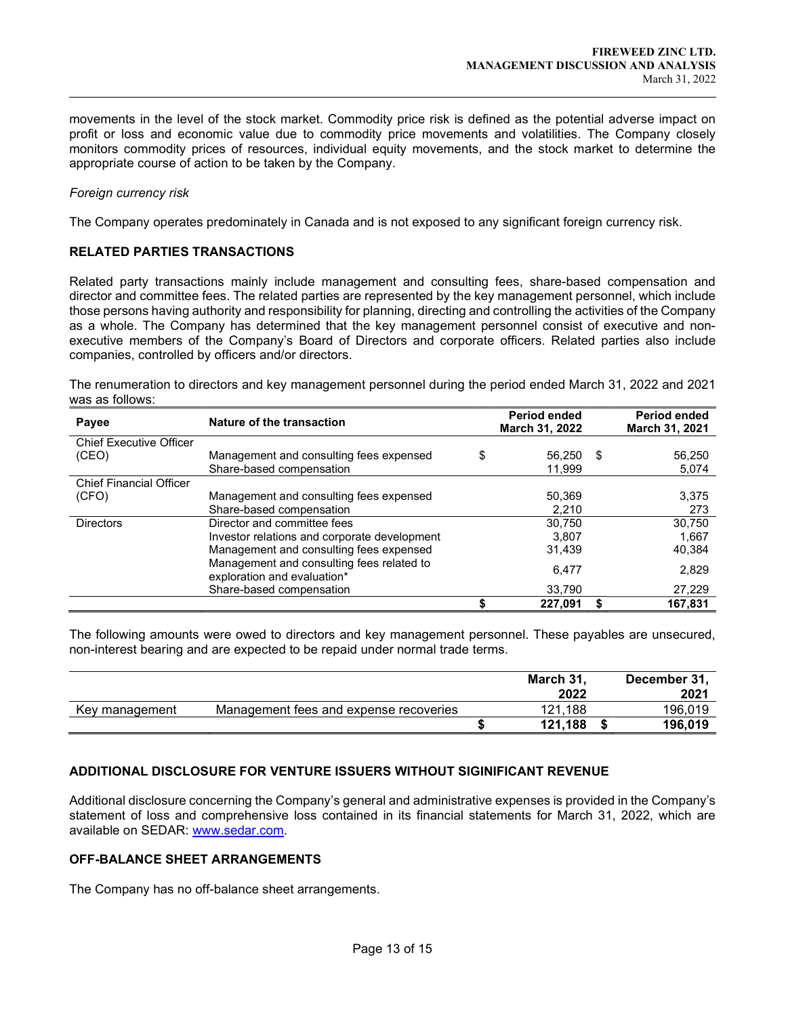movements in the level of the stock market. Commodity price risk is defined as the potential adverse impact on profit or loss and economic value due to commodity price movements and volatilities. The Company closely monitors commodity prices of resources, individual equity movements, and the stock market to determine the appropriate course of action to be taken by the Company.

#### Foreign currency risk

 $\overline{a}$ 

The Company operates predominately in Canada and is not exposed to any significant foreign currency risk.

#### RELATED PARTIES TRANSACTIONS

Related party transactions mainly include management and consulting fees, share-based compensation and director and committee fees. The related parties are represented by the key management personnel, which include those persons having authority and responsibility for planning, directing and controlling the activities of the Company as a whole. The Company has determined that the key management personnel consist of executive and nonexecutive members of the Company's Board of Directors and corporate officers. Related parties also include companies, controlled by officers and/or directors.

The renumeration to directors and key management personnel during the period ended March 31, 2022 and 2021 was as follows:

| Payee                          | Nature of the transaction                                                |    | <b>Period ended</b><br>March 31, 2022 |      | <b>Period ended</b><br>March 31, 2021 |
|--------------------------------|--------------------------------------------------------------------------|----|---------------------------------------|------|---------------------------------------|
| <b>Chief Executive Officer</b> |                                                                          |    |                                       |      |                                       |
| (CEO)                          | Management and consulting fees expensed                                  | \$ | 56,250                                | - \$ | 56,250                                |
|                                | Share-based compensation                                                 |    | 11,999                                |      | 5,074                                 |
| <b>Chief Financial Officer</b> |                                                                          |    |                                       |      |                                       |
| (CFO)                          | Management and consulting fees expensed                                  |    | 50,369                                |      | 3,375                                 |
|                                | Share-based compensation                                                 |    | 2,210                                 |      | 273                                   |
| <b>Directors</b>               | Director and committee fees                                              |    | 30.750                                |      | 30,750                                |
|                                | Investor relations and corporate development                             |    | 3.807                                 |      | 1.667                                 |
|                                | Management and consulting fees expensed                                  |    | 31,439                                |      | 40,384                                |
|                                | Management and consulting fees related to<br>exploration and evaluation* |    | 6.477                                 |      | 2,829                                 |
|                                | Share-based compensation                                                 |    | 33.790                                |      | 27,229                                |
|                                |                                                                          |    | 227.091                               |      | 167.831                               |

The following amounts were owed to directors and key management personnel. These payables are unsecured, non-interest bearing and are expected to be repaid under normal trade terms.

|                |                                        | March 31. | December 31, |
|----------------|----------------------------------------|-----------|--------------|
|                |                                        | 2022      | 2021         |
| Key management | Management fees and expense recoveries | 121.188   | 196.019      |
|                |                                        | 121.188   | 196.019      |

# ADDITIONAL DISCLOSURE FOR VENTURE ISSUERS WITHOUT SIGINIFICANT REVENUE

Additional disclosure concerning the Company's general and administrative expenses is provided in the Company's statement of loss and comprehensive loss contained in its financial statements for March 31, 2022, which are available on SEDAR: www.sedar.com.

#### OFF-BALANCE SHEET ARRANGEMENTS

The Company has no off-balance sheet arrangements.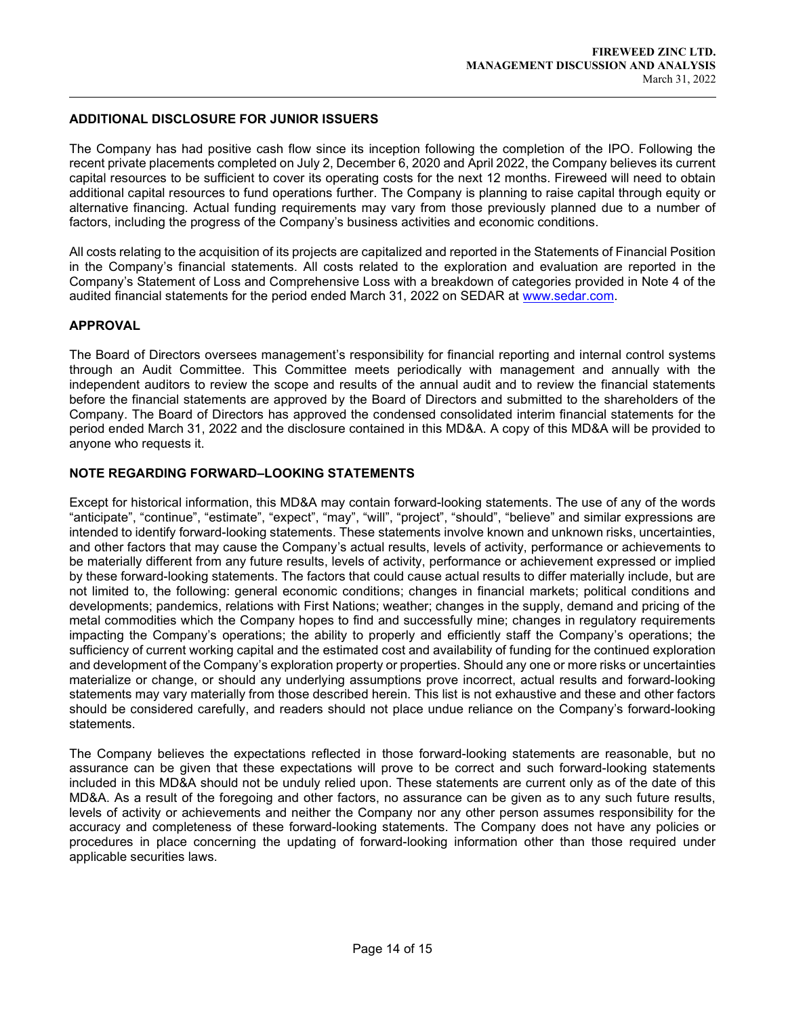## ADDITIONAL DISCLOSURE FOR JUNIOR ISSUERS

The Company has had positive cash flow since its inception following the completion of the IPO. Following the recent private placements completed on July 2, December 6, 2020 and April 2022, the Company believes its current capital resources to be sufficient to cover its operating costs for the next 12 months. Fireweed will need to obtain additional capital resources to fund operations further. The Company is planning to raise capital through equity or alternative financing. Actual funding requirements may vary from those previously planned due to a number of factors, including the progress of the Company's business activities and economic conditions.

All costs relating to the acquisition of its projects are capitalized and reported in the Statements of Financial Position in the Company's financial statements. All costs related to the exploration and evaluation are reported in the Company's Statement of Loss and Comprehensive Loss with a breakdown of categories provided in Note 4 of the audited financial statements for the period ended March 31, 2022 on SEDAR at www.sedar.com.

# APPROVAL

 $\overline{a}$ 

The Board of Directors oversees management's responsibility for financial reporting and internal control systems through an Audit Committee. This Committee meets periodically with management and annually with the independent auditors to review the scope and results of the annual audit and to review the financial statements before the financial statements are approved by the Board of Directors and submitted to the shareholders of the Company. The Board of Directors has approved the condensed consolidated interim financial statements for the period ended March 31, 2022 and the disclosure contained in this MD&A. A copy of this MD&A will be provided to anyone who requests it.

# NOTE REGARDING FORWARD–LOOKING STATEMENTS

Except for historical information, this MD&A may contain forward-looking statements. The use of any of the words "anticipate", "continue", "estimate", "expect", "may", "will", "project", "should", "believe" and similar expressions are intended to identify forward-looking statements. These statements involve known and unknown risks, uncertainties, and other factors that may cause the Company's actual results, levels of activity, performance or achievements to be materially different from any future results, levels of activity, performance or achievement expressed or implied by these forward-looking statements. The factors that could cause actual results to differ materially include, but are not limited to, the following: general economic conditions; changes in financial markets; political conditions and developments; pandemics, relations with First Nations; weather; changes in the supply, demand and pricing of the metal commodities which the Company hopes to find and successfully mine; changes in regulatory requirements impacting the Company's operations; the ability to properly and efficiently staff the Company's operations; the sufficiency of current working capital and the estimated cost and availability of funding for the continued exploration and development of the Company's exploration property or properties. Should any one or more risks or uncertainties materialize or change, or should any underlying assumptions prove incorrect, actual results and forward-looking statements may vary materially from those described herein. This list is not exhaustive and these and other factors should be considered carefully, and readers should not place undue reliance on the Company's forward-looking statements.

The Company believes the expectations reflected in those forward-looking statements are reasonable, but no assurance can be given that these expectations will prove to be correct and such forward-looking statements included in this MD&A should not be unduly relied upon. These statements are current only as of the date of this MD&A. As a result of the foregoing and other factors, no assurance can be given as to any such future results, levels of activity or achievements and neither the Company nor any other person assumes responsibility for the accuracy and completeness of these forward-looking statements. The Company does not have any policies or procedures in place concerning the updating of forward-looking information other than those required under applicable securities laws.